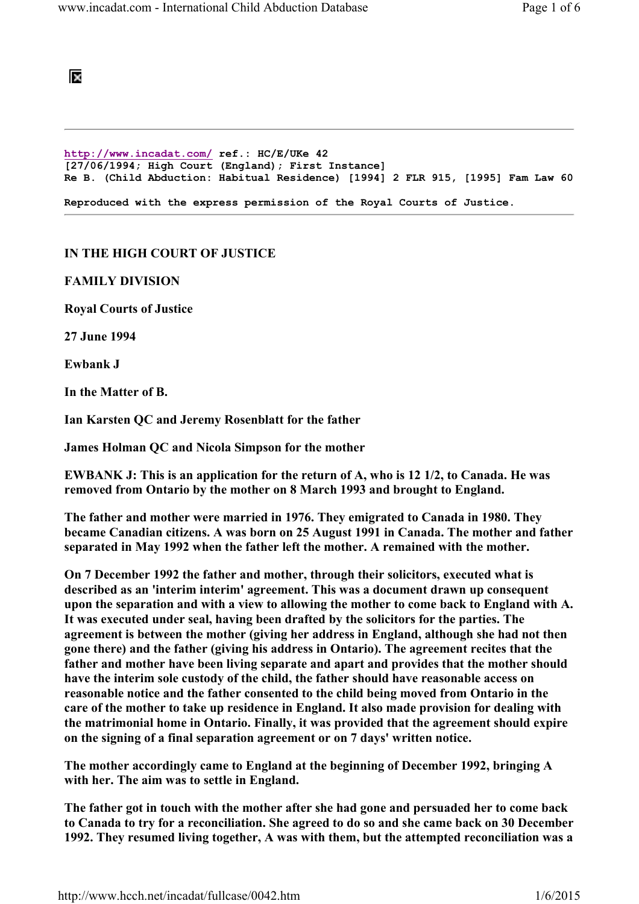## 阪

http://www.incadat.com/ ref.: HC/E/UKe 42 [27/06/1994; High Court (England); First Instance] Re B. (Child Abduction: Habitual Residence) [1994] 2 FLR 915, [1995] Fam Law 60 Reproduced with the express permission of the Royal Courts of Justice.

## IN THE HIGH COURT OF JUSTICE

## FAMILY DIVISION

Royal Courts of Justice

27 June 1994

Ewbank J

In the Matter of B.

Ian Karsten QC and Jeremy Rosenblatt for the father

James Holman QC and Nicola Simpson for the mother

EWBANK J: This is an application for the return of A, who is 12 1/2, to Canada. He was removed from Ontario by the mother on 8 March 1993 and brought to England.

The father and mother were married in 1976. They emigrated to Canada in 1980. They became Canadian citizens. A was born on 25 August 1991 in Canada. The mother and father separated in May 1992 when the father left the mother. A remained with the mother.

On 7 December 1992 the father and mother, through their solicitors, executed what is described as an 'interim interim' agreement. This was a document drawn up consequent upon the separation and with a view to allowing the mother to come back to England with A. It was executed under seal, having been drafted by the solicitors for the parties. The agreement is between the mother (giving her address in England, although she had not then gone there) and the father (giving his address in Ontario). The agreement recites that the father and mother have been living separate and apart and provides that the mother should have the interim sole custody of the child, the father should have reasonable access on reasonable notice and the father consented to the child being moved from Ontario in the care of the mother to take up residence in England. It also made provision for dealing with the matrimonial home in Ontario. Finally, it was provided that the agreement should expire on the signing of a final separation agreement or on 7 days' written notice.

The mother accordingly came to England at the beginning of December 1992, bringing A with her. The aim was to settle in England.

The father got in touch with the mother after she had gone and persuaded her to come back to Canada to try for a reconciliation. She agreed to do so and she came back on 30 December 1992. They resumed living together, A was with them, but the attempted reconciliation was a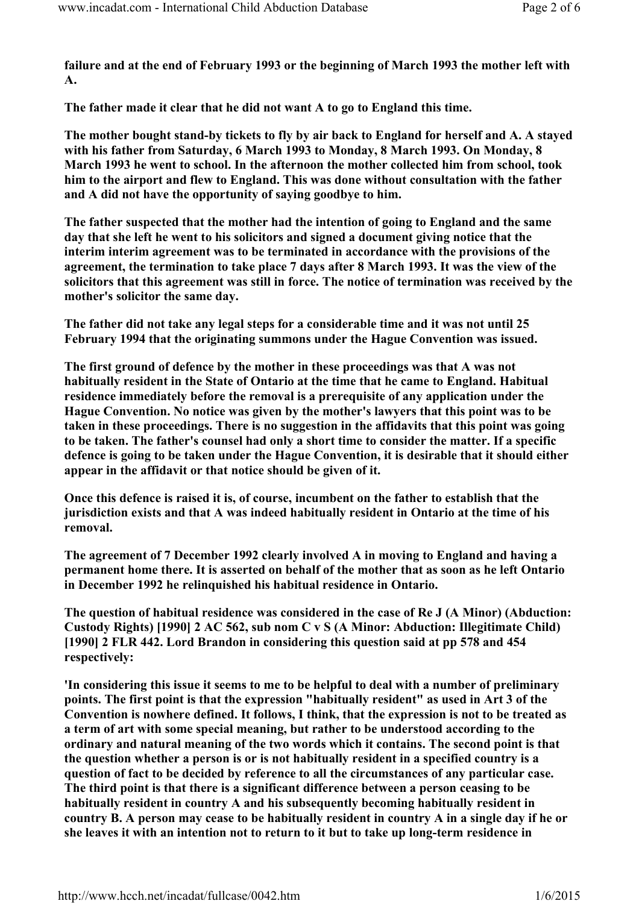failure and at the end of February 1993 or the beginning of March 1993 the mother left with A.

The father made it clear that he did not want A to go to England this time.

The mother bought stand-by tickets to fly by air back to England for herself and A. A stayed with his father from Saturday, 6 March 1993 to Monday, 8 March 1993. On Monday, 8 March 1993 he went to school. In the afternoon the mother collected him from school, took him to the airport and flew to England. This was done without consultation with the father and A did not have the opportunity of saying goodbye to him.

The father suspected that the mother had the intention of going to England and the same day that she left he went to his solicitors and signed a document giving notice that the interim interim agreement was to be terminated in accordance with the provisions of the agreement, the termination to take place 7 days after 8 March 1993. It was the view of the solicitors that this agreement was still in force. The notice of termination was received by the mother's solicitor the same day.

The father did not take any legal steps for a considerable time and it was not until 25 February 1994 that the originating summons under the Hague Convention was issued.

The first ground of defence by the mother in these proceedings was that A was not habitually resident in the State of Ontario at the time that he came to England. Habitual residence immediately before the removal is a prerequisite of any application under the Hague Convention. No notice was given by the mother's lawyers that this point was to be taken in these proceedings. There is no suggestion in the affidavits that this point was going to be taken. The father's counsel had only a short time to consider the matter. If a specific defence is going to be taken under the Hague Convention, it is desirable that it should either appear in the affidavit or that notice should be given of it.

Once this defence is raised it is, of course, incumbent on the father to establish that the jurisdiction exists and that A was indeed habitually resident in Ontario at the time of his removal.

The agreement of 7 December 1992 clearly involved A in moving to England and having a permanent home there. It is asserted on behalf of the mother that as soon as he left Ontario in December 1992 he relinquished his habitual residence in Ontario.

The question of habitual residence was considered in the case of Re J (A Minor) (Abduction: Custody Rights) [1990] 2 AC 562, sub nom C v S (A Minor: Abduction: Illegitimate Child) [1990] 2 FLR 442. Lord Brandon in considering this question said at pp 578 and 454 respectively:

'In considering this issue it seems to me to be helpful to deal with a number of preliminary points. The first point is that the expression "habitually resident" as used in Art 3 of the Convention is nowhere defined. It follows, I think, that the expression is not to be treated as a term of art with some special meaning, but rather to be understood according to the ordinary and natural meaning of the two words which it contains. The second point is that the question whether a person is or is not habitually resident in a specified country is a question of fact to be decided by reference to all the circumstances of any particular case. The third point is that there is a significant difference between a person ceasing to be habitually resident in country A and his subsequently becoming habitually resident in country B. A person may cease to be habitually resident in country A in a single day if he or she leaves it with an intention not to return to it but to take up long-term residence in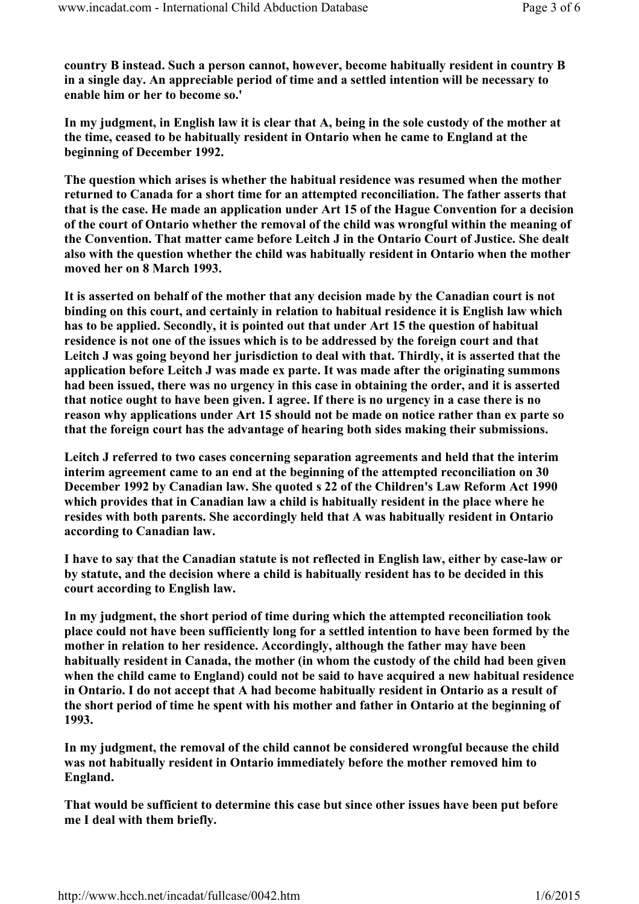country B instead. Such a person cannot, however, become habitually resident in country B in a single day. An appreciable period of time and a settled intention will be necessary to enable him or her to become so.'

In my judgment, in English law it is clear that A, being in the sole custody of the mother at the time, ceased to be habitually resident in Ontario when he came to England at the beginning of December 1992.

The question which arises is whether the habitual residence was resumed when the mother returned to Canada for a short time for an attempted reconciliation. The father asserts that that is the case. He made an application under Art 15 of the Hague Convention for a decision of the court of Ontario whether the removal of the child was wrongful within the meaning of the Convention. That matter came before Leitch J in the Ontario Court of Justice. She dealt also with the question whether the child was habitually resident in Ontario when the mother moved her on 8 March 1993.

It is asserted on behalf of the mother that any decision made by the Canadian court is not binding on this court, and certainly in relation to habitual residence it is English law which has to be applied. Secondly, it is pointed out that under Art 15 the question of habitual residence is not one of the issues which is to be addressed by the foreign court and that Leitch J was going beyond her jurisdiction to deal with that. Thirdly, it is asserted that the application before Leitch J was made ex parte. It was made after the originating summons had been issued, there was no urgency in this case in obtaining the order, and it is asserted that notice ought to have been given. I agree. If there is no urgency in a case there is no reason why applications under Art 15 should not be made on notice rather than ex parte so that the foreign court has the advantage of hearing both sides making their submissions.

Leitch J referred to two cases concerning separation agreements and held that the interim interim agreement came to an end at the beginning of the attempted reconciliation on 30 December 1992 by Canadian law. She quoted s 22 of the Children's Law Reform Act 1990 which provides that in Canadian law a child is habitually resident in the place where he resides with both parents. She accordingly held that A was habitually resident in Ontario according to Canadian law.

I have to say that the Canadian statute is not reflected in English law, either by case-law or by statute, and the decision where a child is habitually resident has to be decided in this court according to English law.

In my judgment, the short period of time during which the attempted reconciliation took place could not have been sufficiently long for a settled intention to have been formed by the mother in relation to her residence. Accordingly, although the father may have been habitually resident in Canada, the mother (in whom the custody of the child had been given when the child came to England) could not be said to have acquired a new habitual residence in Ontario. I do not accept that A had become habitually resident in Ontario as a result of the short period of time he spent with his mother and father in Ontario at the beginning of 1993.

In my judgment, the removal of the child cannot be considered wrongful because the child was not habitually resident in Ontario immediately before the mother removed him to England.

That would be sufficient to determine this case but since other issues have been put before me I deal with them briefly.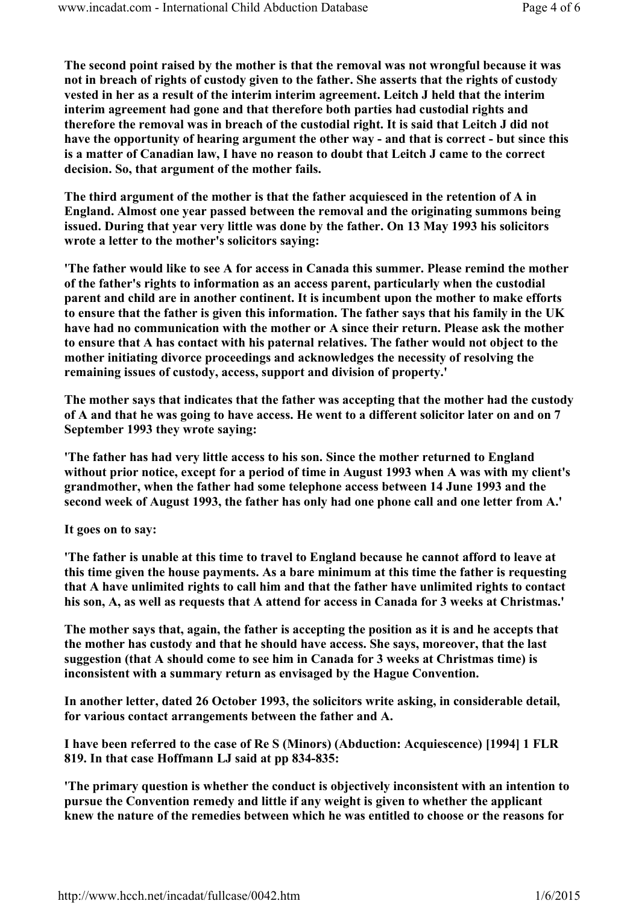The second point raised by the mother is that the removal was not wrongful because it was not in breach of rights of custody given to the father. She asserts that the rights of custody vested in her as a result of the interim interim agreement. Leitch J held that the interim interim agreement had gone and that therefore both parties had custodial rights and therefore the removal was in breach of the custodial right. It is said that Leitch J did not have the opportunity of hearing argument the other way - and that is correct - but since this is a matter of Canadian law, I have no reason to doubt that Leitch J came to the correct decision. So, that argument of the mother fails.

The third argument of the mother is that the father acquiesced in the retention of A in England. Almost one year passed between the removal and the originating summons being issued. During that year very little was done by the father. On 13 May 1993 his solicitors wrote a letter to the mother's solicitors saying:

'The father would like to see A for access in Canada this summer. Please remind the mother of the father's rights to information as an access parent, particularly when the custodial parent and child are in another continent. It is incumbent upon the mother to make efforts to ensure that the father is given this information. The father says that his family in the UK have had no communication with the mother or A since their return. Please ask the mother to ensure that A has contact with his paternal relatives. The father would not object to the mother initiating divorce proceedings and acknowledges the necessity of resolving the remaining issues of custody, access, support and division of property.'

The mother says that indicates that the father was accepting that the mother had the custody of A and that he was going to have access. He went to a different solicitor later on and on 7 September 1993 they wrote saying:

'The father has had very little access to his son. Since the mother returned to England without prior notice, except for a period of time in August 1993 when A was with my client's grandmother, when the father had some telephone access between 14 June 1993 and the second week of August 1993, the father has only had one phone call and one letter from A.'

It goes on to say:

'The father is unable at this time to travel to England because he cannot afford to leave at this time given the house payments. As a bare minimum at this time the father is requesting that A have unlimited rights to call him and that the father have unlimited rights to contact his son, A, as well as requests that A attend for access in Canada for 3 weeks at Christmas.'

The mother says that, again, the father is accepting the position as it is and he accepts that the mother has custody and that he should have access. She says, moreover, that the last suggestion (that A should come to see him in Canada for 3 weeks at Christmas time) is inconsistent with a summary return as envisaged by the Hague Convention.

In another letter, dated 26 October 1993, the solicitors write asking, in considerable detail, for various contact arrangements between the father and A.

I have been referred to the case of Re S (Minors) (Abduction: Acquiescence) [1994] 1 FLR 819. In that case Hoffmann LJ said at pp 834-835:

'The primary question is whether the conduct is objectively inconsistent with an intention to pursue the Convention remedy and little if any weight is given to whether the applicant knew the nature of the remedies between which he was entitled to choose or the reasons for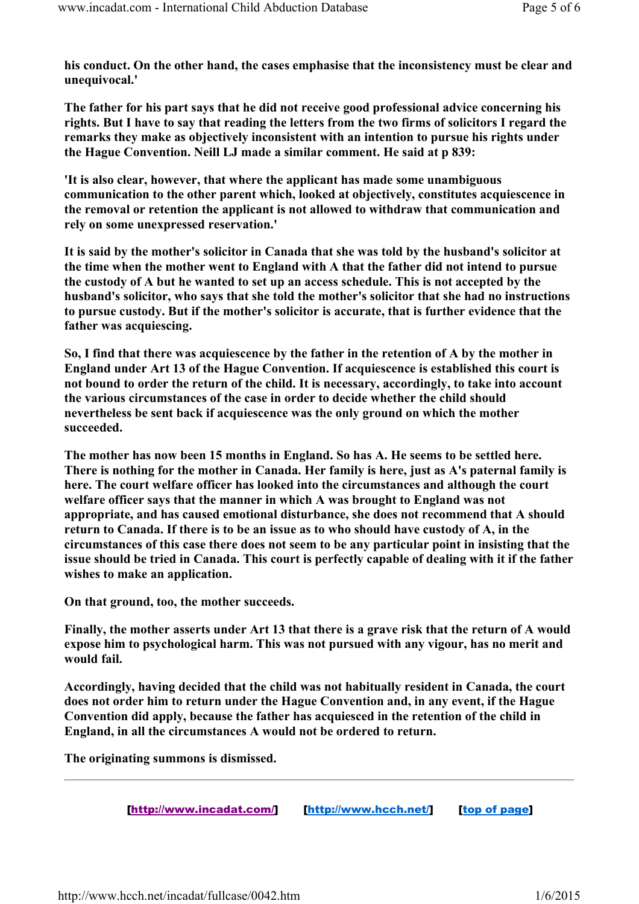his conduct. On the other hand, the cases emphasise that the inconsistency must be clear and unequivocal.'

The father for his part says that he did not receive good professional advice concerning his rights. But I have to say that reading the letters from the two firms of solicitors I regard the remarks they make as objectively inconsistent with an intention to pursue his rights under the Hague Convention. Neill LJ made a similar comment. He said at p 839:

'It is also clear, however, that where the applicant has made some unambiguous communication to the other parent which, looked at objectively, constitutes acquiescence in the removal or retention the applicant is not allowed to withdraw that communication and rely on some unexpressed reservation.'

It is said by the mother's solicitor in Canada that she was told by the husband's solicitor at the time when the mother went to England with A that the father did not intend to pursue the custody of A but he wanted to set up an access schedule. This is not accepted by the husband's solicitor, who says that she told the mother's solicitor that she had no instructions to pursue custody. But if the mother's solicitor is accurate, that is further evidence that the father was acquiescing.

So, I find that there was acquiescence by the father in the retention of A by the mother in England under Art 13 of the Hague Convention. If acquiescence is established this court is not bound to order the return of the child. It is necessary, accordingly, to take into account the various circumstances of the case in order to decide whether the child should nevertheless be sent back if acquiescence was the only ground on which the mother succeeded.

The mother has now been 15 months in England. So has A. He seems to be settled here. There is nothing for the mother in Canada. Her family is here, just as A's paternal family is here. The court welfare officer has looked into the circumstances and although the court welfare officer says that the manner in which A was brought to England was not appropriate, and has caused emotional disturbance, she does not recommend that A should return to Canada. If there is to be an issue as to who should have custody of A, in the circumstances of this case there does not seem to be any particular point in insisting that the issue should be tried in Canada. This court is perfectly capable of dealing with it if the father wishes to make an application.

On that ground, too, the mother succeeds.

Finally, the mother asserts under Art 13 that there is a grave risk that the return of A would expose him to psychological harm. This was not pursued with any vigour, has no merit and would fail.

Accordingly, having decided that the child was not habitually resident in Canada, the court does not order him to return under the Hague Convention and, in any event, if the Hague Convention did apply, because the father has acquiesced in the retention of the child in England, in all the circumstances A would not be ordered to return.

The originating summons is dismissed.

[http://www.incadat.com/] [http://www.hcch.net/] [top of page]